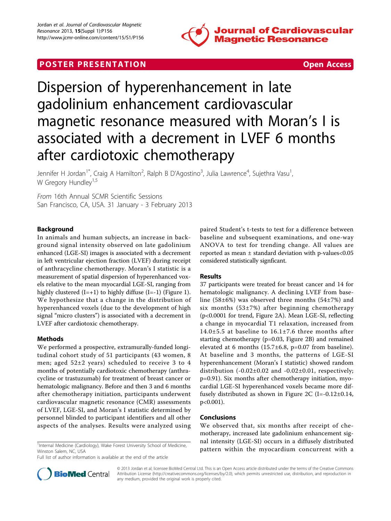

# **POSTER PRESENTATION CONSUMING THE SECOND CONSUMING THE SECOND CONSUMING THE SECOND CONSUMING THE SECOND CONSUMING THE SECOND CONSUMING THE SECOND CONSUMING THE SECOND CONSUMING THE SECOND CONSUMING THE SECOND CONSUMING**



# Dispersion of hyperenhancement in late gadolinium enhancement cardiovascular magnetic resonance measured with Moran's I is associated with a decrement in LVEF 6 months after cardiotoxic chemotherapy

Jennifer H Jordan<sup>1\*</sup>, Craig A Hamilton<sup>2</sup>, Ralph B D'Agostino<sup>3</sup>, Julia Lawrence<sup>4</sup>, Sujethra Vasu<sup>1</sup> , W Gregory Hundley<sup>1,5</sup>

From 16th Annual SCMR Scientific Sessions San Francisco, CA, USA. 31 January - 3 February 2013

# Background

In animals and human subjects, an increase in background signal intensity observed on late gadolinium enhanced (LGE-SI) images is associated with a decrement in left ventricular ejection fraction (LVEF) during receipt of anthracycline chemotherapy. Moran's I statistic is a measurement of spatial dispersion of hyperenhanced voxels relative to the mean myocardial LGE-SI, ranging from highly clustered  $(I=+1)$  to highly diffuse  $(I=-1)$  (Figure [1](#page-1-0)). We hypothesize that a change in the distribution of hyperenhanced voxels (due to the development of high signal "micro clusters") is associated with a decrement in LVEF after cardiotoxic chemotherapy.

### Methods

We performed a prospective, extramurally-funded longitudinal cohort study of 51 participants (43 women, 8 men; aged 52±2 years) scheduled to receive 3 to 4 months of potentially cardiotoxic chemotherapy (anthracycline or trastuzumab) for treatment of breast cancer or hematologic malignancy. Before and then 3 and 6 months after chemotherapy initiation, participants underwent cardiovascular magnetic resonance (CMR) assessments of LVEF, LGE-SI, and Moran's I statistic determined by personnel blinded to participant identifiers and all other aspects of the analyses. Results were analyzed using

<sup>1</sup>Internal Medicine (Cardiology), Wake Forest University School of Medicine, Winston Salem, NC, USA

Full list of author information is available at the end of the article

paired Student's t-tests to test for a difference between baseline and subsequent examinations, and one-way ANOVA to test for trending change. All values are reported as mean  $\pm$  standard deviation with p-values<0.05 considered statistically signficant.

#### Results

37 participants were treated for breast cancer and 14 for hematologic malignancy. A declining LVEF from baseline (58±6%) was observed three months (54±7%) and six months (53±7%) after beginning chemotherapy (p<0.0001 for trend, Figure [2A\)](#page-1-0). Mean LGE-SI, reflecting a change in myocardial T1 relaxation, increased from 14.0±5.5 at baseline to 16.1±7.6 three months after starting chemotherapy (p=0.03, Figure [2B\)](#page-1-0) and remained elevated at 6 months (15.7±6.8, p=0.07 from baseline). At baseline and 3 months, the patterns of LGE-SI hyperenhancement (Moran's I statistic) showed random distribution  $(-0.02 \pm 0.02$  and  $-0.02 \pm 0.01$ , respectively; p=0.91). Six months after chemotherapy initiation, myocardial LGE-SI hyperenhanced voxels became more dif-fusely distributed as shown in Figure [2C](#page-1-0)  $(I=-0.12\pm0.14,$ p<0.001).

## Conclusions

We observed that, six months after receipt of chemotherapy, increased late gadolinium enhancement signal intensity (LGE-SI) occurs in a diffusely distributed pattern within the myocardium concurrent with a <sup>1</sup>



© 2013 Jordan et al; licensee BioMed Central Ltd. This is an Open Access article distributed under the terms of the Creative Commons Attribution License [\(http://creativecommons.org/licenses/by/2.0](http://creativecommons.org/licenses/by/2.0)), which permits unrestricted use, distribution, and reproduction in any medium, provided the original work is properly cited.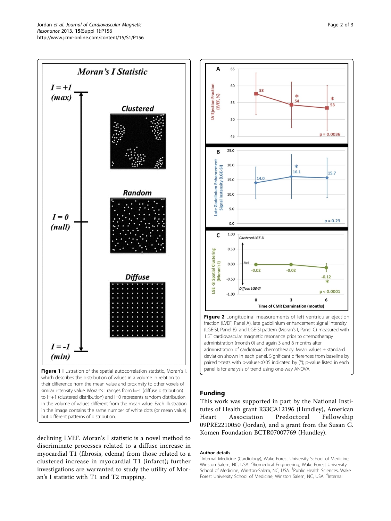<span id="page-1-0"></span>

but different patterns of distribution.

declining LVEF. Moran's I statistic is a novel method to discriminate processes related to a diffuse increase in myocardial T1 (fibrosis, edema) from those related to a clustered increase in myocardial T1 (infarct); further investigations are warranted to study the utility of Moran's I statistic with T1 and T2 mapping.



# Funding

This work was supported in part by the National Institutes of Health grant R33CA12196 (Hundley), American Heart Association Predoctoral Fellowship 09PRE2210050 (Jordan), and a grant from the Susan G. Komen Foundation BCTR07007769 (Hundley).

#### Author details

<sup>1</sup>Internal Medicine (Cardiology), Wake Forest University School of Medicine Winston Salem, NC, USA. <sup>2</sup>Biomedical Engineering, Wake Forest University School of Medicine, Winston-Salem, NC, USA. <sup>3</sup>Public Health Sciences, Wake Forest University School of Medicine, Winston Salem, NC, USA. <sup>4</sup>Internal